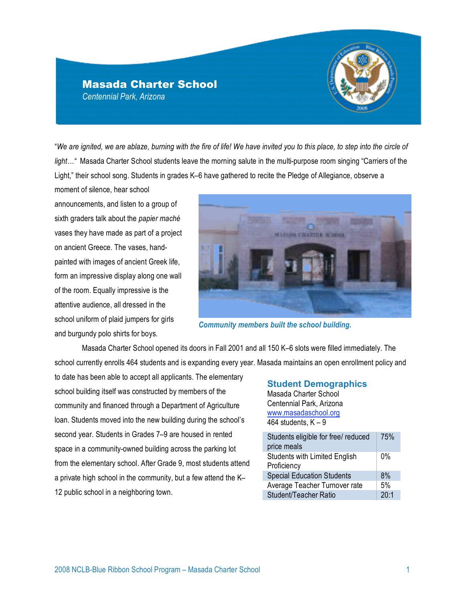# Masada Charter School *Centennial Park, Arizona*

"*We are ignited, we are ablaze, burning with the fire of life! We have invited you to this place, to step into the circle of light…"* Masada Charter School students leave the morning salute in the multi-purpose room singing "Carriers of the Light," their school song. Students in grades K–6 have gathered to recite the Pledge of Allegiance, observe a

moment of silence, hear school announcements, and listen to a group of sixth graders talk about the *papier maché* vases they have made as part of a project on ancient Greece. The vases, handpainted with images of ancient Greek life, form an impressive display along one wall of the room. Equally impressive is the attentive audience, all dressed in the school uniform of plaid jumpers for girls and burgundy polo shirts for boys.



*Community members built the school building.* 

Masada Charter School opened its doors in Fall 2001 and all 150 K–6 slots were filled immediately. The school currently enrolls 464 students and is expanding every year. Masada maintains an open enrollment policy and

to date has been able to accept all applicants. The elementary school building itself was constructed by members of the community and financed through a Department of Agriculture loan. Students moved into the new building during the school's second year. Students in Grades 7–9 are housed in rented space in a community-owned building across the parking lot from the elementary school. After Grade 9, most students attend a private high school in the community, but a few attend the K– 12 public school in a neighboring town.

#### **Student Demographics**

Masada Charter School Centennial Park, Arizona www.masadaschool.org 464 students,  $K - 9$ 

| Students eligible for free/ reduced  | 75%   |
|--------------------------------------|-------|
| price meals                          |       |
| <b>Students with Limited English</b> | $0\%$ |
| Proficiency                          |       |
| <b>Special Education Students</b>    | 8%    |
| Average Teacher Turnover rate        | 5%    |
| Student/Teacher Ratio                | 20:1  |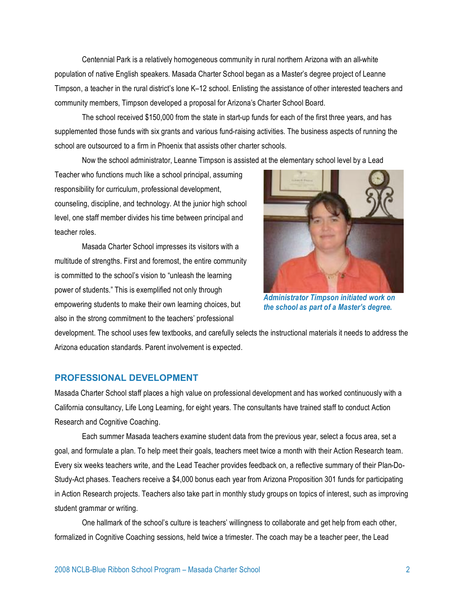Centennial Park is a relatively homogeneous community in rural northern Arizona with an all-white population of native English speakers. Masada Charter School began as a Master's degree project of Leanne Timpson, a teacher in the rural district's lone K–12 school. Enlisting the assistance of other interested teachers and community members, Timpson developed a proposal for Arizona's Charter School Board.

The school received \$150,000 from the state in start-up funds for each of the first three years, and has supplemented those funds with six grants and various fund-raising activities. The business aspects of running the school are outsourced to a firm in Phoenix that assists other charter schools.

Now the school administrator, Leanne Timpson is assisted at the elementary school level by a Lead

Teacher who functions much like a school principal, assuming responsibility for curriculum, professional development, counseling, discipline, and technology. At the junior high school level, one staff member divides his time between principal and teacher roles.

Masada Charter School impresses its visitors with a multitude of strengths. First and foremost, the entire community is committed to the school's vision to "unleash the learning power of students." This is exemplified not only through empowering students to make their own learning choices, but also in the strong commitment to the teachers' professional



*Administrator Timpson initiated work on the school as part of a Master's degree.*

development. The school uses few textbooks, and carefully selects the instructional materials it needs to address the Arizona education standards. Parent involvement is expected.

## **PROFESSIONAL DEVELOPMENT**

Masada Charter School staff places a high value on professional development and has worked continuously with a California consultancy, Life Long Learning, for eight years. The consultants have trained staff to conduct Action Research and Cognitive Coaching.

Each summer Masada teachers examine student data from the previous year, select a focus area, set a goal, and formulate a plan. To help meet their goals, teachers meet twice a month with their Action Research team. Every six weeks teachers write, and the Lead Teacher provides feedback on, a reflective summary of their Plan-Do-Study-Act phases. Teachers receive a \$4,000 bonus each year from Arizona Proposition 301 funds for participating in Action Research projects. Teachers also take part in monthly study groups on topics of interest, such as improving student grammar or writing.

One hallmark of the school's culture is teachers' willingness to collaborate and get help from each other, formalized in Cognitive Coaching sessions, held twice a trimester. The coach may be a teacher peer, the Lead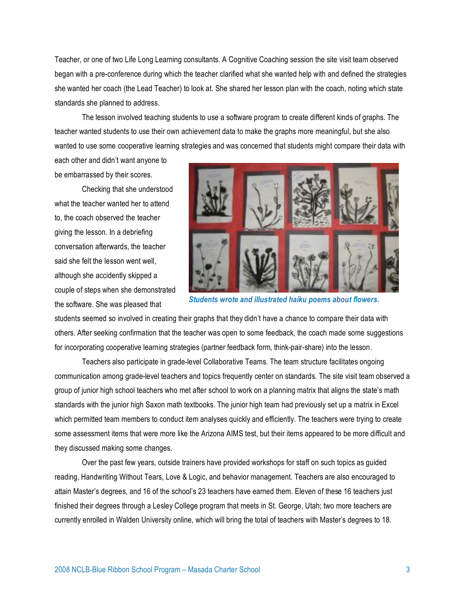Teacher, or one of two Life Long Learning consultants. A Cognitive Coaching session the site visit team observed began with a pre-conference during which the teacher clarified what she wanted help with and defined the strategies she wanted her coach (the Lead Teacher) to look at. She shared her lesson plan with the coach, noting which state standards she planned to address.

The lesson involved teaching students to use a software program to create different kinds of graphs. The teacher wanted students to use their own achievement data to make the graphs more meaningful, but she also wanted to use some cooperative learning strategies and was concerned that students might compare their data with

each other and didn't want anyone to be embarrassed by their scores.

Checking that she understood what the teacher wanted her to attend to, the coach observed the teacher giving the lesson. In a debriefing conversation afterwards, the teacher said she felt the lesson went well, although she accidently skipped a couple of steps when she demonstrated the software. She was pleased that



*Students wrote and illustrated haiku poems about flowers.* 

students seemed so involved in creating their graphs that they didn't have a chance to compare their data with others. After seeking confirmation that the teacher was open to some feedback, the coach made some suggestions for incorporating cooperative learning strategies (partner feedback form, think-pair-share) into the lesson.

Teachers also participate in grade-level Collaborative Teams. The team structure facilitates ongoing communication among grade-level teachers and topics frequently center on standards. The site visit team observed a group of junior high school teachers who met after school to work on a planning matrix that aligns the state's math standards with the junior high Saxon math textbooks. The junior high team had previously set up a matrix in Excel which permitted team members to conduct item analyses quickly and efficiently. The teachers were trying to create some assessment items that were more like the Arizona AIMS test, but their items appeared to be more difficult and they discussed making some changes.

Over the past few years, outside trainers have provided workshops for staff on such topics as guided reading, Handwriting Without Tears, Love & Logic, and behavior management. Teachers are also encouraged to attain Master's degrees, and 16 of the school's 23 teachers have earned them. Eleven of these 16 teachers just finished their degrees through a Lesley College program that meets in St. George, Utah; two more teachers are currently enrolled in Walden University online, which will bring the total of teachers with Master's degrees to 18.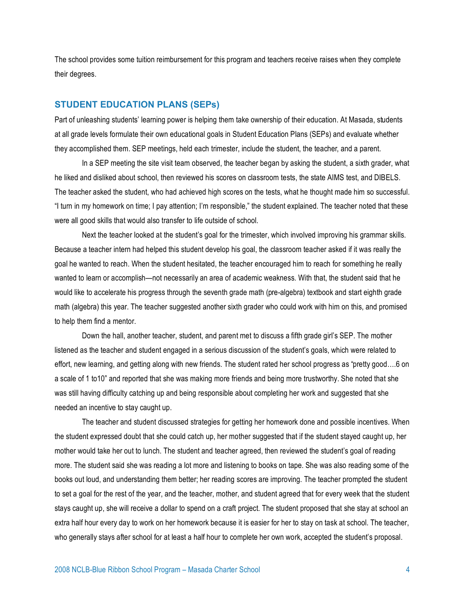The school provides some tuition reimbursement for this program and teachers receive raises when they complete their degrees.

#### **STUDENT EDUCATION PLANS (SEPs)**

Part of unleashing students' learning power is helping them take ownership of their education. At Masada, students at all grade levels formulate their own educational goals in Student Education Plans (SEPs) and evaluate whether they accomplished them. SEP meetings, held each trimester, include the student, the teacher, and a parent.

In a SEP meeting the site visit team observed, the teacher began by asking the student, a sixth grader, what he liked and disliked about school, then reviewed his scores on classroom tests, the state AIMS test, and DIBELS. The teacher asked the student, who had achieved high scores on the tests, what he thought made him so successful. "I turn in my homework on time; I pay attention; I'm responsible," the student explained. The teacher noted that these were all good skills that would also transfer to life outside of school.

Next the teacher looked at the student's goal for the trimester, which involved improving his grammar skills. Because a teacher intern had helped this student develop his goal, the classroom teacher asked if it was really the goal he wanted to reach. When the student hesitated, the teacher encouraged him to reach for something he really wanted to learn or accomplish—not necessarily an area of academic weakness. With that, the student said that he would like to accelerate his progress through the seventh grade math (pre-algebra) textbook and start eighth grade math (algebra) this year. The teacher suggested another sixth grader who could work with him on this, and promised to help them find a mentor.

Down the hall, another teacher, student, and parent met to discuss a fifth grade girl's SEP. The mother listened as the teacher and student engaged in a serious discussion of the student's goals, which were related to effort, new learning, and getting along with new friends. The student rated her school progress as "pretty good….6 on a scale of 1 to10" and reported that she was making more friends and being more trustworthy. She noted that she was still having difficulty catching up and being responsible about completing her work and suggested that she needed an incentive to stay caught up.

The teacher and student discussed strategies for getting her homework done and possible incentives. When the student expressed doubt that she could catch up, her mother suggested that if the student stayed caught up, her mother would take her out to lunch. The student and teacher agreed, then reviewed the student's goal of reading more. The student said she was reading a lot more and listening to books on tape. She was also reading some of the books out loud, and understanding them better; her reading scores are improving. The teacher prompted the student to set a goal for the rest of the year, and the teacher, mother, and student agreed that for every week that the student stays caught up, she will receive a dollar to spend on a craft project. The student proposed that she stay at school an extra half hour every day to work on her homework because it is easier for her to stay on task at school. The teacher, who generally stays after school for at least a half hour to complete her own work, accepted the student's proposal.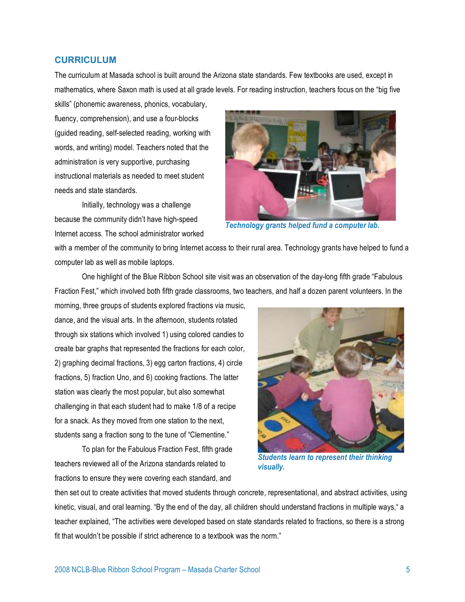#### **CURRICULUM**

The curriculum at Masada school is built around the Arizona state standards. Few textbooks are used, except in mathematics, where Saxon math is used at all grade levels. For reading instruction, teachers focus on the "big five

skills" (phonemic awareness, phonics, vocabulary, fluency, comprehension), and use a four-blocks (guided reading, self-selected reading, working with words, and writing) model. Teachers noted that the administration is very supportive, purchasing instructional materials as needed to meet student needs and state standards.

Initially, technology was a challenge because the community didn't have high-speed Internet access. The school administrator worked



*Technology grants helped fund a computer lab.*

with a member of the community to bring Internet access to their rural area. Technology grants have helped to fund a computer lab as well as mobile laptops.

One highlight of the Blue Ribbon School site visit was an observation of the day-long fifth grade "Fabulous Fraction Fest," which involved both fifth grade classrooms, two teachers, and half a dozen parent volunteers. In the

morning, three groups of students explored fractions via music, dance, and the visual arts. In the afternoon, students rotated through six stations which involved 1) using colored candies to create bar graphs that represented the fractions for each color, 2) graphing decimal fractions, 3) egg carton fractions, 4) circle fractions, 5) fraction Uno, and 6) cooking fractions. The latter station was clearly the most popular, but also somewhat challenging in that each student had to make 1/8 of a recipe for a snack. As they moved from one station to the next, students sang a fraction song to the tune of "Clementine."

To plan for the Fabulous Fraction Fest, fifth grade teachers reviewed all of the Arizona standards related to fractions to ensure they were covering each standard, and



*Students learn to represent their thinking visually.* 

then set out to create activities that moved students through concrete, representational, and abstract activities, using kinetic, visual, and oral learning. "By the end of the day, all children should understand fractions in multiple ways," a teacher explained, "The activities were developed based on state standards related to fractions, so there is a strong fit that wouldn't be possible if strict adherence to a textbook was the norm."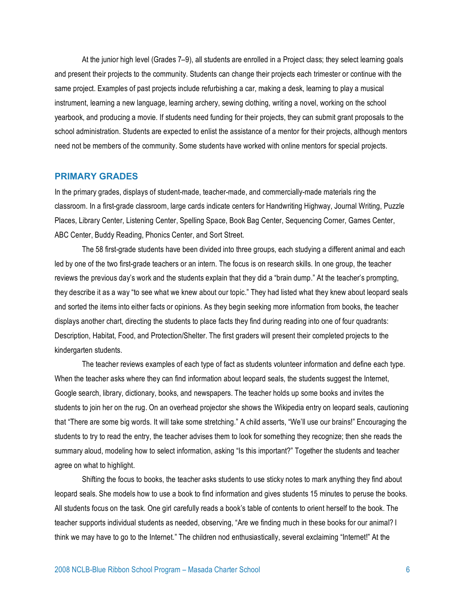At the junior high level (Grades 7–9), all students are enrolled in a Project class; they select learning goals and present their projects to the community. Students can change their projects each trimester or continue with the same project. Examples of past projects include refurbishing a car, making a desk, learning to play a musical instrument, learning a new language, learning archery, sewing clothing, writing a novel, working on the school yearbook, and producing a movie. If students need funding for their projects, they can submit grant proposals to the school administration. Students are expected to enlist the assistance of a mentor for their projects, although mentors need not be members of the community. Some students have worked with online mentors for special projects.

#### **PRIMARY GRADES**

In the primary grades, displays of student-made, teacher-made, and commercially-made materials ring the classroom. In a first-grade classroom, large cards indicate centers for Handwriting Highway, Journal Writing, Puzzle Places, Library Center, Listening Center, Spelling Space, Book Bag Center, Sequencing Corner, Games Center, ABC Center, Buddy Reading, Phonics Center, and Sort Street.

The 58 first-grade students have been divided into three groups, each studying a different animal and each led by one of the two first-grade teachers or an intern. The focus is on research skills. In one group, the teacher reviews the previous day's work and the students explain that they did a "brain dump." At the teacher's prompting, they describe it as a way "to see what we knew about our topic." They had listed what they knew about leopard seals and sorted the items into either facts or opinions. As they begin seeking more information from books, the teacher displays another chart, directing the students to place facts they find during reading into one of four quadrants: Description, Habitat, Food, and Protection/Shelter. The first graders will present their completed projects to the kindergarten students.

The teacher reviews examples of each type of fact as students volunteer information and define each type. When the teacher asks where they can find information about leopard seals, the students suggest the Internet, Google search, library, dictionary, books, and newspapers. The teacher holds up some books and invites the students to join her on the rug. On an overhead projector she shows the Wikipedia entry on leopard seals, cautioning that "There are some big words. It will take some stretching." A child asserts, "We'll use our brains!" Encouraging the students to try to read the entry, the teacher advises them to look for something they recognize; then she reads the summary aloud, modeling how to select information, asking "Is this important?" Together the students and teacher agree on what to highlight.

Shifting the focus to books, the teacher asks students to use sticky notes to mark anything they find about leopard seals. She models how to use a book to find information and gives students 15 minutes to peruse the books. All students focus on the task. One girl carefully reads a book's table of contents to orient herself to the book. The teacher supports individual students as needed, observing, "Are we finding much in these books for our animal? I think we may have to go to the Internet." The children nod enthusiastically, several exclaiming "Internet!" At the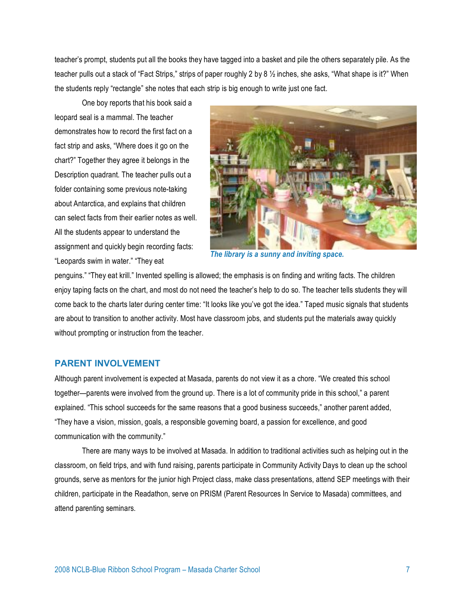teacher's prompt, students put all the books they have tagged into a basket and pile the others separately pile. As the teacher pulls out a stack of "Fact Strips," strips of paper roughly 2 by 8 ½ inches, she asks, "What shape is it?" When the students reply "rectangle" she notes that each strip is big enough to write just one fact.

One boy reports that his book said a leopard seal is a mammal. The teacher demonstrates how to record the first fact on a fact strip and asks, "Where does it go on the chart?" Together they agree it belongs in the Description quadrant. The teacher pulls out a folder containing some previous note-taking about Antarctica, and explains that children can select facts from their earlier notes as well. All the students appear to understand the assignment and quickly begin recording facts: "Leopards swim in water." "They eat



*The library is a sunny and inviting space.* 

penguins." "They eat krill." Invented spelling is allowed; the emphasis is on finding and writing facts. The children enjoy taping facts on the chart, and most do not need the teacher's help to do so. The teacher tells students they will come back to the charts later during center time: "It looks like you've got the idea." Taped music signals that students are about to transition to another activity. Most have classroom jobs, and students put the materials away quickly without prompting or instruction from the teacher.

#### **PARENT INVOLVEMENT**

Although parent involvement is expected at Masada, parents do not view it as a chore. "We created this school together—parents were involved from the ground up. There is a lot of community pride in this school," a parent explained. "This school succeeds for the same reasons that a good business succeeds," another parent added, "They have a vision, mission, goals, a responsible governing board, a passion for excellence, and good communication with the community."

There are many ways to be involved at Masada. In addition to traditional activities such as helping out in the classroom, on field trips, and with fund raising, parents participate in Community Activity Days to clean up the school grounds, serve as mentors for the junior high Project class, make class presentations, attend SEP meetings with their children, participate in the Readathon, serve on PRISM (Parent Resources In Service to Masada) committees, and attend parenting seminars.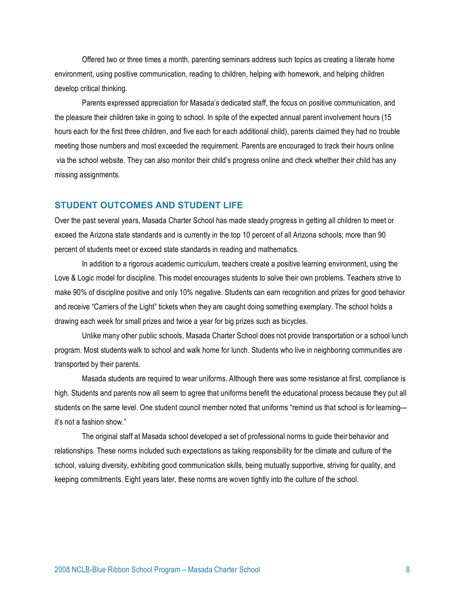Offered two or three times a month, parenting seminars address such topics as creating a literate home environment, using positive communication, reading to children, helping with homework, and helping children develop critical thinking.

Parents expressed appreciation for Masada's dedicated staff, the focus on positive communication, and the pleasure their children take in going to school. In spite of the expected annual parent involvement hours (15 hours each for the first three children, and five each for each additional child), parents claimed they had no trouble meeting those numbers and most exceeded the requirement. Parents are encouraged to track their hours online via the school website. They can also monitor their child's progress online and check whether their child has any missing assignments.

## **STUDENT OUTCOMES AND STUDENT LIFE**

Over the past several years, Masada Charter School has made steady progress in getting all children to meet or exceed the Arizona state standards and is currently in the top 10 percent of all Arizona schools; more than 90 percent of students meet or exceed state standards in reading and mathematics.

In addition to a rigorous academic curriculum, teachers create a positive learning environment, using the Love & Logic model for discipline. This model encourages students to solve their own problems. Teachers strive to make 90% of discipline positive and only 10% negative. Students can earn recognition and prizes for good behavior and receive "Carriers of the Light" tickets when they are caught doing something exemplary. The school holds a drawing each week for small prizes and twice a year for big prizes such as bicycles.

Unlike many other public schools, Masada Charter School does not provide transportation or a school lunch program. Most students walk to school and walk home for lunch. Students who live in neighboring communities are transported by their parents.

Masada students are required to wear uniforms. Although there was some resistance at first, compliance is high. Students and parents now all seem to agree that uniforms benefit the educational process because they put all students on the same level. One student council member noted that uniforms "remind us that school is for learning it's not a fashion show."

The original staff at Masada school developed a set of professional norms to guide their behavior and relationships. These norms included such expectations as taking responsibility for the climate and culture of the school, valuing diversity, exhibiting good communication skills, being mutually supportive, striving for quality, and keeping commitments. Eight years later, these norms are woven tightly into the culture of the school.